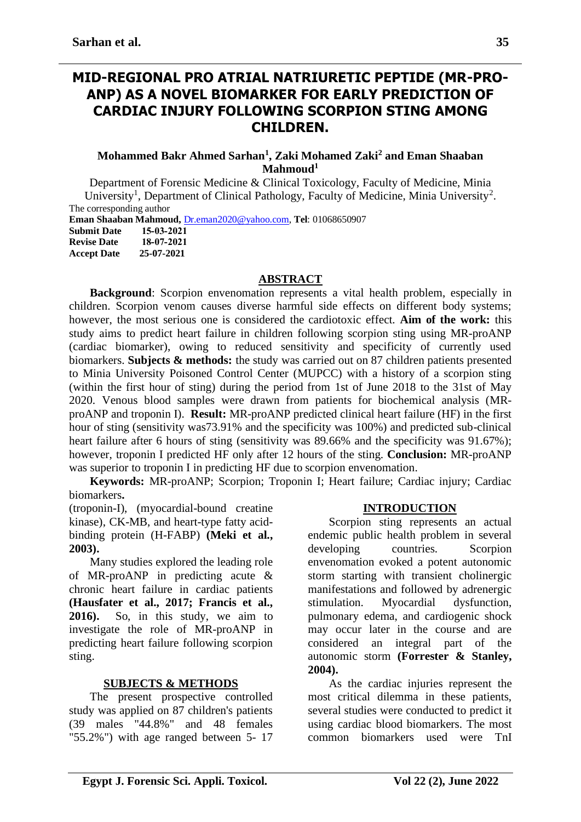## **MID-REGIONAL PRO ATRIAL NATRIURETIC PEPTIDE (MR-PRO-ANP) AS A NOVEL BIOMARKER FOR EARLY PREDICTION OF CARDIAC INJURY FOLLOWING SCORPION STING AMONG CHILDREN.**

#### **Mohammed Bakr Ahmed Sarhan<sup>1</sup> , Zaki Mohamed Zaki<sup>2</sup> and Eman Shaaban Mahmoud<sup>1</sup>**

Department of Forensic Medicine & Clinical Toxicology, Faculty of Medicine, Minia University<sup>1</sup>, Department of Clinical Pathology, Faculty of Medicine, Minia University<sup>2</sup>. The corresponding author

**Eman Shaaban Mahmoud,** [Dr.eman2020@yahoo.com,](mailto:Dr.eman2020@yahoo.com) **Tel**: 01068650907 **Submit Date 15-03-2021 Revise Date 18-07-2021 Accept Date 25-07-2021**

#### **ABSTRACT**

**Background**: Scorpion envenomation represents a vital health problem, especially in children. Scorpion venom causes diverse harmful side effects on different body systems; however, the most serious one is considered the cardiotoxic effect. **Aim of the work:** this study aims to predict heart failure in children following scorpion sting using MR-proANP (cardiac biomarker), owing to reduced sensitivity and specificity of currently used biomarkers. **Subjects & methods:** the study was carried out on 87 children patients presented to Minia University Poisoned Control Center (MUPCC) with a history of a scorpion sting (within the first hour of sting) during the period from 1st of June 2018 to the 31st of May 2020. Venous blood samples were drawn from patients for biochemical analysis (MRproANP and troponin I). **Result:** MR-proANP predicted clinical heart failure (HF) in the first hour of sting (sensitivity was73.91% and the specificity was 100%) and predicted sub-clinical heart failure after 6 hours of sting (sensitivity was 89.66% and the specificity was 91.67%); however, troponin I predicted HF only after 12 hours of the sting. **Conclusion:** MR-proANP was superior to troponin I in predicting HF due to scorpion envenomation.

**Keywords:** MR-proANP; Scorpion; Troponin I; Heart failure; Cardiac injury; Cardiac biomarkers**.**

(troponin-I), (myocardial-bound creatine kinase), CK-MB, and heart-type fatty acidbinding protein (H-FABP) **(Meki et al., 2003).**

Many studies explored the leading role of MR-proANP in predicting acute & chronic heart failure in cardiac patients **(Hausfater et al., 2017; Francis et al., 2016).** So, in this study, we aim to investigate the role of MR-proANP in predicting heart failure following scorpion sting.

#### **SUBJECTS & METHODS**

The present prospective controlled study was applied on 87 children's patients (39 males "44.8%" and 48 females "55.2%") with age ranged between 5- 17

#### **INTRODUCTION**

Scorpion sting represents an actual endemic public health problem in several developing countries. Scorpion envenomation evoked a potent autonomic storm starting with transient cholinergic manifestations and followed by adrenergic stimulation. Myocardial dysfunction, pulmonary edema, and cardiogenic shock may occur later in the course and are considered an integral part of the autonomic storm **(Forrester & Stanley, 2004).**

As the cardiac injuries represent the most critical dilemma in these patients, several studies were conducted to predict it using cardiac blood biomarkers. The most common biomarkers used were TnI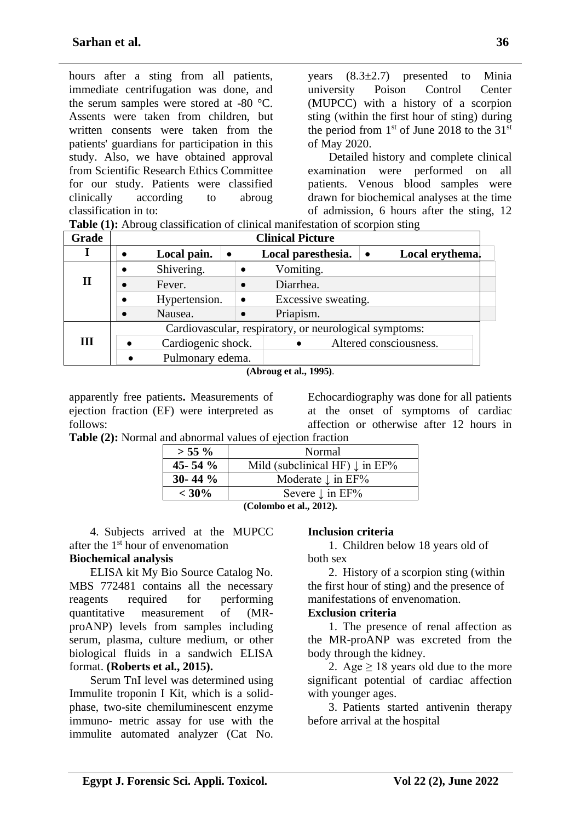hours after a sting from all patients, immediate centrifugation was done, and the serum samples were stored at -80 °C. Assents were taken from children, but written consents were taken from the patients' guardians for participation in this study. Also, we have obtained approval from Scientific Research Ethics Committee for our study. Patients were classified clinically according to abroug classification in to:

years  $(8.3\pm2.7)$  presented to Minia university Poison Control Center (MUPCC) with a history of a scorpion sting (within the first hour of sting) during the period from  $1<sup>st</sup>$  of June 2018 to the 31<sup>st</sup> of May 2020.

Detailed history and complete clinical examination were performed on all patients. Venous blood samples were drawn for biochemical analyses at the time of admission, 6 hours after the sting, 12

**Table (1):** Abroug classification of clinical manifestation of scorpion sting

| Grade | <b>Clinical Picture</b> |                                                        |           |                     |           |                        |  |
|-------|-------------------------|--------------------------------------------------------|-----------|---------------------|-----------|------------------------|--|
|       |                         | Local pain.<br>$\bullet$                               |           | Local paresthesia.  | $\bullet$ | Local erythema.        |  |
|       |                         | Shivering.                                             |           | Vomiting.           |           |                        |  |
| П     |                         | Fever.                                                 |           | Diarrhea.           |           |                        |  |
|       |                         | Hypertension.                                          | $\bullet$ | Excessive sweating. |           |                        |  |
|       |                         | Nausea.                                                |           | Priapism.           |           |                        |  |
|       |                         | Cardiovascular, respiratory, or neurological symptoms: |           |                     |           |                        |  |
| Ш     |                         | Cardiogenic shock.                                     |           |                     |           | Altered consciousness. |  |
|       |                         | Pulmonary edema.                                       |           |                     |           |                        |  |

**(Abroug et al., 1995)**.

apparently free patients**.** Measurements of ejection fraction (EF) were interpreted as follows:

Echocardiography was done for all patients at the onset of symptoms of cardiac affection or otherwise after 12 hours in

**Table (2):** Normal and abnormal values of ejection fraction

| $> 55 \%$    | Normal                                    |  |  |  |
|--------------|-------------------------------------------|--|--|--|
| 45 - 54 $\%$ | Mild (subclinical HF) $\downarrow$ in EF% |  |  |  |
| 30-44 $\%$   | Moderate $\downarrow$ in EF%              |  |  |  |
| $< 30\%$     | Severe $\downarrow$ in EF%                |  |  |  |
| (0.11.11)    |                                           |  |  |  |

**(Colombo et al., 2012).**

4. Subjects arrived at the MUPCC after the 1st hour of envenomation

### **Biochemical analysis**

ELISA kit My Bio Source Catalog No. MBS 772481 contains all the necessary reagents required for performing quantitative measurement of (MRproANP) levels from samples including serum, plasma, culture medium, or other biological fluids in a sandwich ELISA format. **(Roberts et al., 2015).**

Serum TnI level was determined using Immulite troponin I Kit, which is a solidphase, two-site chemiluminescent enzyme immuno- metric assay for use with the immulite automated analyzer (Cat No.

#### **Inclusion criteria**

1. Children below 18 years old of both sex

2. History of a scorpion sting (within the first hour of sting) and the presence of manifestations of envenomation.

#### **Exclusion criteria**

1. The presence of renal affection as the MR-proANP was excreted from the body through the kidney.

2. Age  $\geq$  18 years old due to the more significant potential of cardiac affection with younger ages.

3. Patients started antivenin therapy before arrival at the hospital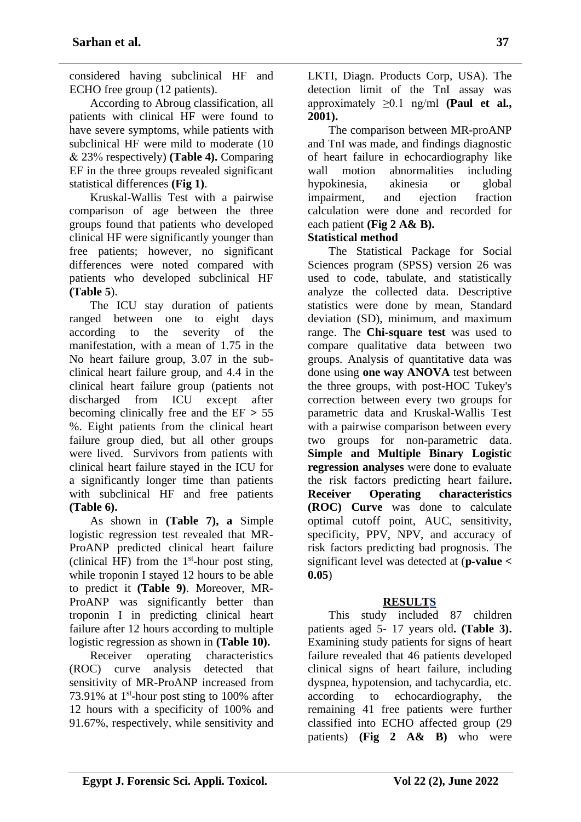considered having subclinical HF and ECHO free group (12 patients).

According to Abroug classification, all patients with clinical HF were found to have severe symptoms, while patients with subclinical HF were mild to moderate (10 & 23% respectively) **(Table 4).** Comparing EF in the three groups revealed significant statistical differences **(Fig 1)**.

Kruskal-Wallis Test with a pairwise comparison of age between the three groups found that patients who developed clinical HF were significantly younger than free patients; however, no significant differences were noted compared with patients who developed subclinical HF **(Table 5**).

The ICU stay duration of patients ranged between one to eight days according to the severity of the manifestation, with a mean of 1.75 in the No heart failure group, 3.07 in the subclinical heart failure group, and 4.4 in the clinical heart failure group (patients not discharged from ICU except after becoming clinically free and the EF **>** 55 %. Eight patients from the clinical heart failure group died, but all other groups were lived. Survivors from patients with clinical heart failure stayed in the ICU for a significantly longer time than patients with subclinical HF and free patients **(Table 6).**

As shown in **(Table 7), a** Simple logistic regression test revealed that MR-ProANP predicted clinical heart failure (clinical HF) from the  $1<sup>st</sup>$ -hour post sting, while troponin I stayed 12 hours to be able to predict it **(Table 9)**. Moreover, MR-ProANP was significantly better than troponin I in predicting clinical heart failure after 12 hours according to multiple logistic regression as shown in **(Table 10).**

Receiver operating characteristics (ROC) curve analysis detected that sensitivity of MR-ProANP increased from 73.91% at  $1<sup>st</sup>$ -hour post sting to 100% after 12 hours with a specificity of 100% and 91.67%, respectively, while sensitivity and

LKTI, Diagn. Products Corp, USA). The detection limit of the TnI assay was approximately ≥0.1 ng/ml **(Paul et al., 2001).**

The comparison between MR-proANP and TnI was made, and findings diagnostic of heart failure in echocardiography like wall motion abnormalities including hypokinesia, akinesia or global impairment, and ejection fraction calculation were done and recorded for each patient **(Fig 2 A& B).**

## **Statistical method**

The Statistical Package for Social Sciences program (SPSS) version 26 was used to code, tabulate, and statistically analyze the collected data. Descriptive statistics were done by mean, Standard deviation (SD), minimum, and maximum range. The **Chi-square test** was used to compare qualitative data between two groups. Analysis of quantitative data was done using **one way ANOVA** test between the three groups, with post-HOC Tukey's correction between every two groups for parametric data and Kruskal-Wallis Test with a pairwise comparison between every two groups for non-parametric data. **Simple and Multiple Binary Logistic regression analyses** were done to evaluate the risk factors predicting heart failure**. Receiver Operating characteristics (ROC) Curve** was done to calculate optimal cutoff point, AUC, sensitivity, specificity, PPV, NPV, and accuracy of risk factors predicting bad prognosis. The significant level was detected at (**p-value < 0.05**)

## **RESULTS**

This study included 87 children patients aged 5- 17 years old**. (Table 3).** Examining study patients for signs of heart failure revealed that 46 patients developed clinical signs of heart failure, including dyspnea, hypotension, and tachycardia, etc. according to echocardiography, the remaining 41 free patients were further classified into ECHO affected group (29 patients) **(Fig 2 A& B)** who were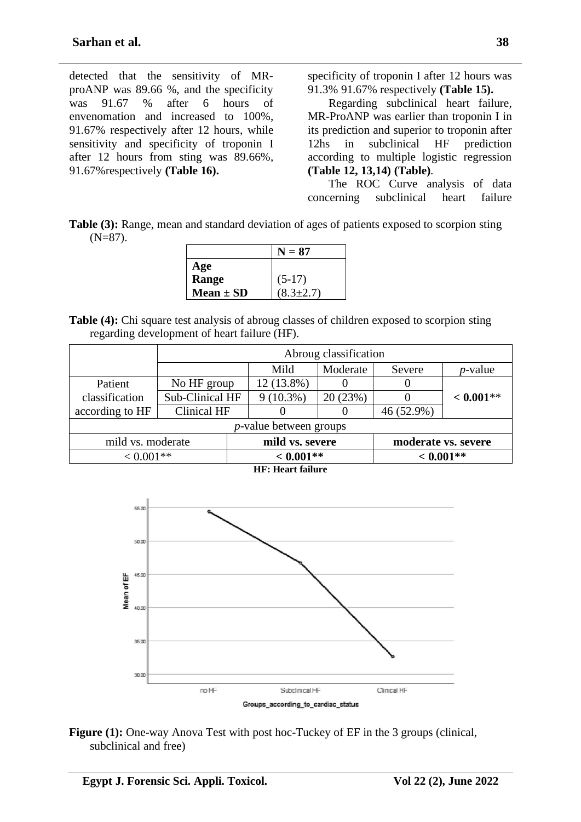detected that the sensitivity of MRproANP was 89.66 %, and the specificity was 91.67 % after 6 hours of envenomation and increased to 100%, 91.67% respectively after 12 hours, while sensitivity and specificity of troponin I after 12 hours from sting was 89.66%, 91.67%respectively **(Table 16).** 

specificity of troponin I after 12 hours was 91.3% 91.67% respectively **(Table 15).**

Regarding subclinical heart failure, MR-ProANP was earlier than troponin I in its prediction and superior to troponin after 12hs in subclinical HF prediction according to multiple logistic regression **(Table 12, 13,14) (Table)**.

The ROC Curve analysis of data concerning subclinical heart failure

**Table (3):** Range, mean and standard deviation of ages of patients exposed to scorpion sting  $(N=87)$ .

|               | $N=87$          |
|---------------|-----------------|
| Age           |                 |
| Range         | $(5-17)$        |
| Mean $\pm$ SD | $(8.3 \pm 2.7)$ |

**Table (4):** Chi square test analysis of abroug classes of children exposed to scorpion sting regarding development of heart failure (HF).

|                                                             | Abroug classification |  |                                |          |             |             |  |
|-------------------------------------------------------------|-----------------------|--|--------------------------------|----------|-------------|-------------|--|
|                                                             |                       |  | Mild                           | Moderate | Severe      | $p$ -value  |  |
| Patient                                                     | No HF group           |  | 12 (13.8%)                     |          |             |             |  |
| classification                                              | Sub-Clinical HF       |  | $9(10.3\%)$                    | 20(23%)  |             | $< 0.001**$ |  |
| according to HF                                             | Clinical HF           |  |                                | O        | 46 (52.9%)  |             |  |
|                                                             |                       |  | <i>p</i> -value between groups |          |             |             |  |
| mild vs. severe<br>mild vs. moderate<br>moderate vs. severe |                       |  |                                |          |             |             |  |
| $< 0.001**$                                                 |                       |  | $< 0.001**$                    |          | $< 0.001**$ |             |  |
| <b>HF: Heart failure</b>                                    |                       |  |                                |          |             |             |  |



**Figure (1):** One-way Anova Test with post hoc-Tuckey of EF in the 3 groups (clinical, subclinical and free)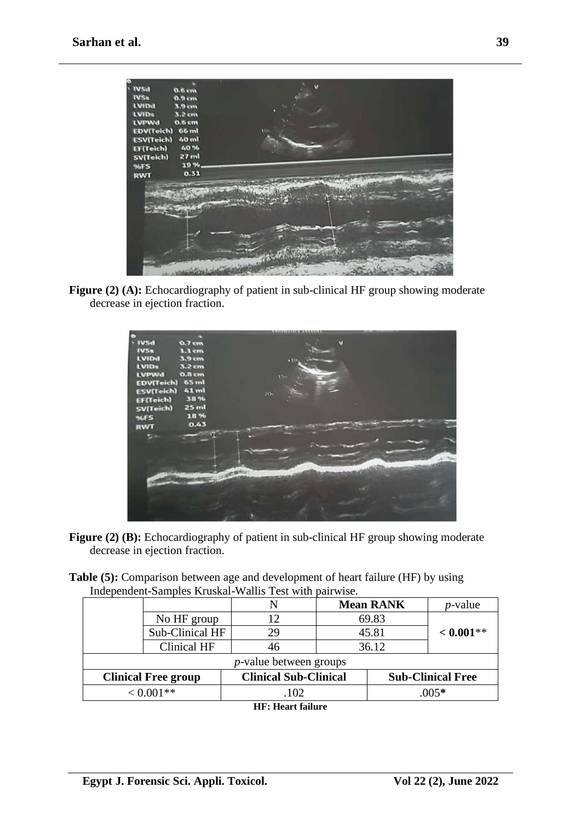

**Figure (2) (A):** Echocardiography of patient in sub-clinical HF group showing moderate decrease in ejection fraction.



- **Figure (2) (B):** Echocardiography of patient in sub-clinical HF group showing moderate decrease in ejection fraction.
- **Table (5):** Comparison between age and development of heart failure (HF) by using Independent-Samples Kruskal-Wallis Test with pairwise.

|                                |                 | N                            |        | <b>Mean RANK</b> | $p$ -value               |
|--------------------------------|-----------------|------------------------------|--------|------------------|--------------------------|
|                                | No HF group     | 12                           |        | 69.83            |                          |
|                                | Sub-Clinical HF | 29                           |        | 45.81            | $< 0.001$ **             |
|                                | Clinical HF     | 46                           |        | 36.12            |                          |
| <i>p</i> -value between groups |                 |                              |        |                  |                          |
| <b>Clinical Free group</b>     |                 | <b>Clinical Sub-Clinical</b> |        |                  | <b>Sub-Clinical Free</b> |
| $< 0.001**$                    |                 | .102                         | $005*$ |                  |                          |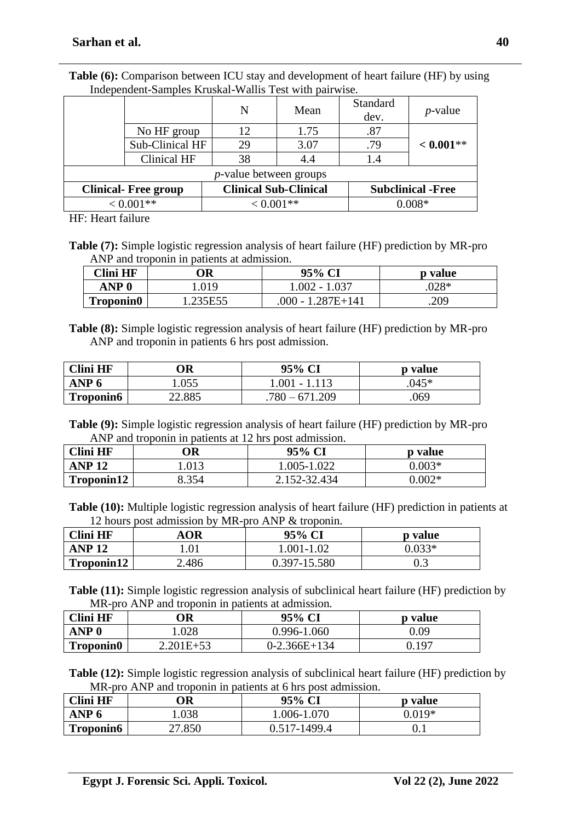|                             |                 | N                              | Mean | Standard<br>dev. | $p$ -value               |
|-----------------------------|-----------------|--------------------------------|------|------------------|--------------------------|
|                             | No HF group     | 12                             | 1.75 | .87              |                          |
|                             | Sub-Clinical HF | 29                             | 3.07 | .79              | $< 0.001**$              |
|                             | Clinical HF     | 38                             | 4.4  | 1.4              |                          |
|                             |                 | <i>p</i> -value between groups |      |                  |                          |
| <b>Clinical- Free group</b> |                 | <b>Clinical Sub-Clinical</b>   |      |                  | <b>Subclinical -Free</b> |
| $< 0.001**$                 |                 | $< 0.001$ **                   |      |                  | 0 008*                   |

**Table (6):** Comparison between ICU stay and development of heart failure (HF) by using Independent-Samples Kruskal-Wallis Test with pairwise.

HF: Heart failure

**Table (7):** Simple logistic regression analysis of heart failure (HF) prediction by MR-pro ANP and troponin in patients at admission.

| Clini HF         | )R      | 95% CI            | p value |
|------------------|---------|-------------------|---------|
| ANP 0            | .019    | $1.002 - 1.037$   | $.028*$ |
| <b>Troponin0</b> | .235E55 | .000 - 1.287E+141 | .209    |

**Table (8):** Simple logistic regression analysis of heart failure (HF) prediction by MR-pro ANP and troponin in patients 6 hrs post admission.

| <b>Clini HF</b>  | )R     | 95% CI          | p value |
|------------------|--------|-----------------|---------|
| ANP 6            | .055   | $1.001 - 1.113$ | $045*$  |
| <b>Troponin6</b> | 22.885 | 671 209<br>780  | 069     |

**Table (9):** Simple logistic regression analysis of heart failure (HF) prediction by MR-pro ANP and troponin in patients at 12 hrs post admission.

| Clini HF     | ЭR |      | 95% CI       | p value  |
|--------------|----|------|--------------|----------|
| <b>ANP12</b> |    | .013 | 1.005-1.022  | $0.003*$ |
| Troponin12   |    | 354  | 2.152-32.434 | ഥ∩ാ∗     |

**Table (10):** Multiple logistic regression analysis of heart failure (HF) prediction in patients at 12 hours post admission by MR-pro ANP & troponin.

| <b>Clini HF</b> | OR    | 95% CI       | p value |
|-----------------|-------|--------------|---------|
| <b>ANP 12</b>   | 1.01  | 1.001-1.02   | ነ በ33*  |
| Troponin12      | 2.486 | 0.397-15.580 | 0.3     |

**Table (11):** Simple logistic regression analysis of subclinical heart failure (HF) prediction by MR-pro ANP and troponin in patients at admission.

| <b>Clini HF</b>  | )R            | 95% CI         | p value |
|------------------|---------------|----------------|---------|
| ANP 0            | 0.028         | 0.996-1.060    | 0.09    |
| <b>Troponin0</b> | $2.201E + 53$ | $0-2.366E+134$ | 0.197   |

**Table (12):** Simple logistic regression analysis of subclinical heart failure (HF) prediction by MR-pro ANP and troponin in patients at 6 hrs post admission.

| Clini HF         | ОR     | 95% CI       | p value  |
|------------------|--------|--------------|----------|
| ANP <sub>6</sub> | .038   | 1.006-1.070  | $0.019*$ |
| <b>Troponin6</b> | 27.850 | 0.517-1499.4 | U. I     |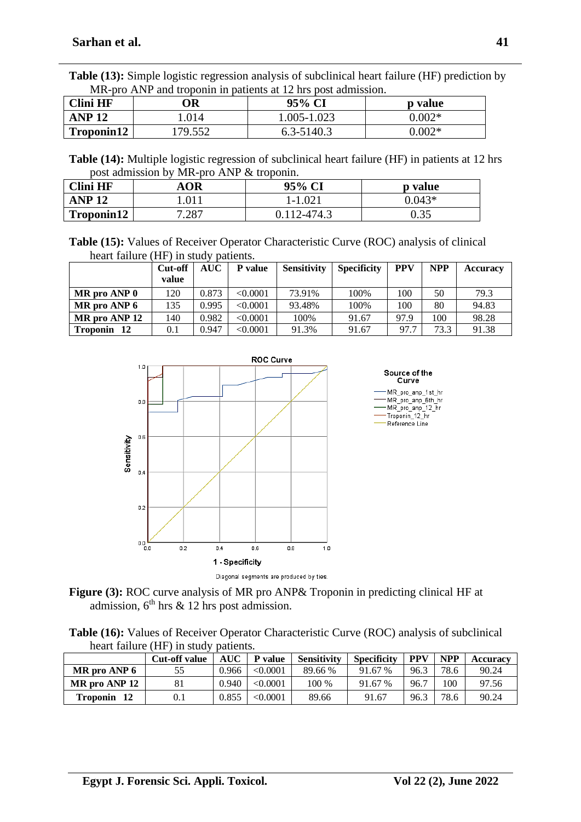**Table (13):** Simple logistic regression analysis of subclinical heart failure (HF) prediction by MR-pro ANP and troponin in patients at 12 hrs post admission.

| Clini HF      | ЭR     | 95% CI      | p value  |
|---------------|--------|-------------|----------|
| <b>ANP 12</b> | .014   | 1.005-1.023 | $0.002*$ |
| Troponin12    | 79.552 | 6.3-5140.3  | $0.002*$ |

**Table (14):** Multiple logistic regression of subclinical heart failure (HF) in patients at 12 hrs post admission by MR-pro ANP & troponin.

| Clini HF      | <b>OR</b> | 95% CI    | <b>p</b> value |
|---------------|-----------|-----------|----------------|
| <b>ANP 12</b> | በ1        | $1-1.021$ | $0.043*$       |
| Troponin12    | 7.287     | 12-474.3  | በ 35<br>ບ.ບປ   |

**Table (15):** Values of Receiver Operator Characteristic Curve (ROC) analysis of clinical heart failure (HF) in study patients.

|                       | Cut-off<br>value | AUC   | P value         | <b>Sensitivity</b> | <b>Specificity</b> | <b>PPV</b> | <b>NPP</b> | <b>Accuracy</b> |
|-----------------------|------------------|-------|-----------------|--------------------|--------------------|------------|------------|-----------------|
| $MR$ pro ANP $0$      | 120              | 0.873 | < 0.0001        | 73.91%             | 100%               | 100        | 50         | 79.3            |
| MR pro ANP 6          | 135              | 0.995 | < 0.0001        | 93.48%             | 100%               | 100        | 80         | 94.83           |
| MR pro ANP 12         | 140              | 0.982 | < 0.0001        | 100%               | 91.67              | 97.9       | 100        | 98.28           |
| <b>Troponin</b><br>12 | $0.1\,$          | 0.947 | $< \!\! 0.0001$ | 91.3%              | 91.67              | 97.7       | 73.3       | 91.38           |



**Figure (3):** ROC curve analysis of MR pro ANP& Troponin in predicting clinical HF at admission,  $6<sup>th</sup>$  hrs & 12 hrs post admission.

**Table (16):** Values of Receiver Operator Characteristic Curve (ROC) analysis of subclinical heart failure (HF) in study patients.

|                       | <b>Cut-off value</b> | <b>AUC</b> | P value  | <b>Sensitivity</b> | <b>Specificity</b> | <b>PPV</b> | <b>NPP</b> | <b>Accuracv</b> |
|-----------------------|----------------------|------------|----------|--------------------|--------------------|------------|------------|-----------------|
| MR pro ANP 6          |                      | 0.966      | < 0.0001 | 89.66 %            | 91.67 %            | 96.3       | 78.6       | 90.24           |
| MR pro ANP 12         |                      | 0.940      | < 0.0001 | 100 %              | 91.67 %            | 96.7       | 100        | 97.56           |
| <b>Troponin</b><br>12 | 0.1                  | 0.855      | < 0.0001 | 89.66              | 91.67              | 96.3       | 78.6       | 90.24           |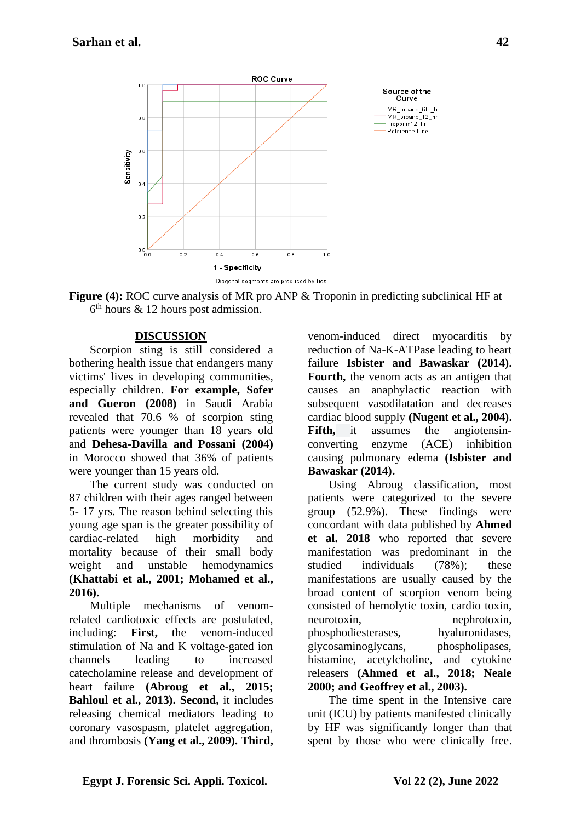

**Figure (4):** ROC curve analysis of MR pro ANP & Troponin in predicting subclinical HF at  $6<sup>th</sup>$  hours & 12 hours post admission.

## **DISCUSSION**

Scorpion sting is still considered a bothering health issue that endangers many victims' lives in developing communities, especially children. **For example, Sofer and Gueron (2008)** in Saudi Arabia revealed that 70.6 % of scorpion sting patients were younger than 18 years old and **Dehesa-Davilla and Possani (2004)** in Morocco showed that 36% of patients were younger than 15 years old.

The current study was conducted on 87 children with their ages ranged between 5- 17 yrs. The reason behind selecting this young age span is the greater possibility of cardiac-related high morbidity and mortality because of their small body weight and unstable hemodynamics **(Khattabi et al., 2001; Mohamed et al., 2016).** 

Multiple mechanisms of venomrelated cardiotoxic effects are postulated, including: **First,** the venom-induced stimulation of Na and K voltage-gated ion channels leading to increased catecholamine release and development of heart failure **(Abroug et al., 2015; Bahloul et al., 2013). Second,** it includes releasing chemical mediators leading to coronary vasospasm, platelet aggregation, and thrombosis **(Yang et al., 2009). Third,**

venom-induced direct myocarditis by reduction of Na-K-ATPase leading to heart failure **Isbister and Bawaskar (2014). Fourth,** the venom acts as an antigen that causes an anaphylactic reaction with subsequent vasodilatation and decreases cardiac blood supply **(Nugent et al., 2004). Fifth,** it assumes the angiotensinconverting enzyme (ACE) inhibition causing pulmonary edema **(Isbister and Bawaskar (2014).** 

Using Abroug classification, most patients were categorized to the severe group (52.9%). These findings were concordant with data published by **Ahmed et al. 2018** who reported that severe manifestation was predominant in the studied individuals (78%); these manifestations are usually caused by the broad content of scorpion venom being consisted of hemolytic toxin, cardio toxin, neurotoxin, nephrotoxin, phosphodiesterases, hyaluronidases, glycosaminoglycans, phospholipases, histamine, acetylcholine, and cytokine releasers **(Ahmed et al., 2018; Neale 2000; and Geoffrey et al., 2003).**

The time spent in the Intensive care unit (ICU) by patients manifested clinically by HF was significantly longer than that spent by those who were clinically free.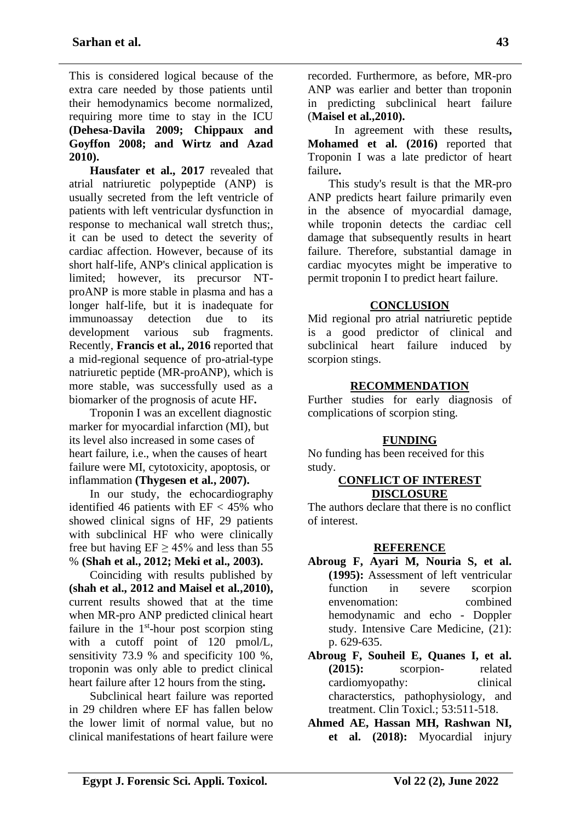This is considered logical because of the extra care needed by those patients until their hemodynamics become normalized, requiring more time to stay in the ICU **(Dehesa-Davila 2009; Chippaux and Goyffon 2008; and Wirtz and Azad 2010).**

**Hausfater et al., 2017** revealed that atrial natriuretic polypeptide (ANP) is usually secreted from the left ventricle of patients with left ventricular dysfunction in response to mechanical wall stretch thus;, it can be used to detect the severity of cardiac affection. However, because of its short half-life, ANP's clinical application is limited; however, its precursor NTproANP is more stable in plasma and has a longer half-life, but it is inadequate for immunoassay detection due to its development various sub fragments. Recently, **Francis et al., 2016** reported that a mid-regional sequence of pro-atrial-type natriuretic peptide (MR-proANP), which is more stable, was successfully used as a biomarker of the prognosis of acute HF**.**

Troponin I was an excellent diagnostic marker for myocardial infarction (MI), but its level also increased in some cases of heart failure, i.e., when the causes of heart failure were MI, cytotoxicity, apoptosis, or inflammation **(Thygesen et al., 2007).**

In our study, the echocardiography identified 46 patients with  $EF < 45\%$  who showed clinical signs of HF, 29 patients with subclinical HF who were clinically free but having  $EF \ge 45\%$  and less than 55 % **(Shah et al., 2012; Meki et al., 2003).**

Coinciding with results published by **(shah et al., 2012 and Maisel et al.,2010),**  current results showed that at the time when MR-pro ANP predicted clinical heart failure in the  $1<sup>st</sup>$ -hour post scorpion sting with a cutoff point of 120 pmol/L, sensitivity 73.9 % and specificity 100 %, troponin was only able to predict clinical heart failure after 12 hours from the sting**.** 

Subclinical heart failure was reported in 29 children where EF has fallen below the lower limit of normal value, but no clinical manifestations of heart failure were

recorded. Furthermore, as before, MR-pro ANP was earlier and better than troponin in predicting subclinical heart failure (**Maisel et al.,2010).**

In agreement with these results**, Mohamed et al. (2016)** reported that Troponin I was a late predictor of heart failure**.**

This study's result is that the MR-pro ANP predicts heart failure primarily even in the absence of myocardial damage, while troponin detects the cardiac cell damage that subsequently results in heart failure. Therefore, substantial damage in cardiac myocytes might be imperative to permit troponin I to predict heart failure.

## **CONCLUSION**

Mid regional pro atrial natriuretic peptide is a good predictor of clinical and subclinical heart failure induced by scorpion stings.

### **RECOMMENDATION**

Further studies for early diagnosis of complications of scorpion sting.

## **FUNDING**

No funding has been received for this study.

#### **CONFLICT OF INTEREST DISCLOSURE**

The authors declare that there is no conflict of interest.

## **REFERENCE**

- **Abroug F, Ayari M, Nouria S, et al. (1995):** Assessment of left ventricular function in severe scorpion envenomation: combined hemodynamic and echo - Doppler study. Intensive Care Medicine, (21): p. 629-635.
- **Abroug F, Souheil E, Quanes I, et al. (2015):** scorpion- related cardiomyopathy: clinical characterstics, pathophysiology, and treatment. Clin Toxicl.; 53:511-518.
- **Ahmed AE, Hassan MH, Rashwan NI, et al. (2018):** Myocardial injury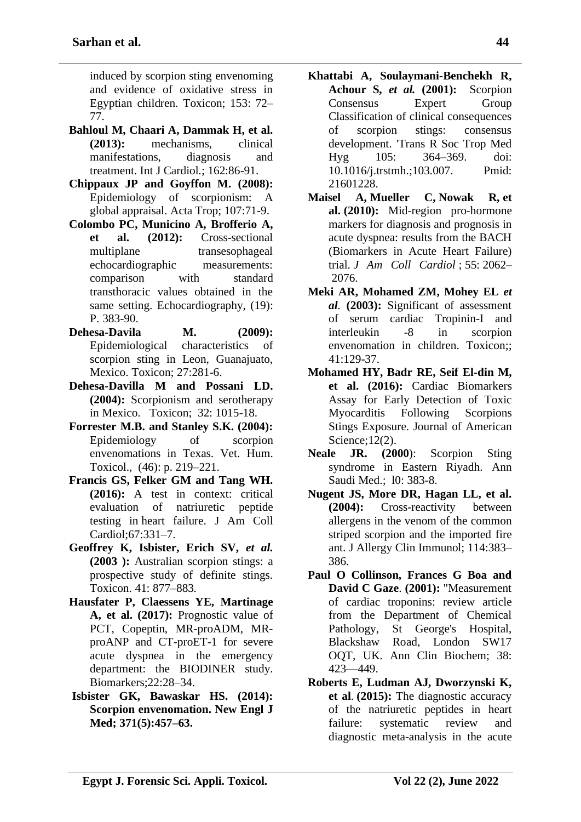induced by scorpion sting envenoming and evidence of oxidative stress in Egyptian children. Toxicon; 153: 72– 77.

- **Bahloul M, Chaari A, Dammak H, et al. (2013):** mechanisms, clinical manifestations, diagnosis and treatment. Int J Cardiol.; 162:86-91.
- **Chippaux JP and Goyffon M. (2008):** Epidemiology of scorpionism: A global appraisal. Acta Trop; 107:71-9.
- **Colombo PC, Municino A, Brofferio A, et al. (2012):** Cross-sectional multiplane transesophageal echocardiographic measurements: comparison with standard transthoracic values obtained in the same setting. Echocardiography, (19): P. 383-90.
- **Dehesa-Davila M. (2009):** Epidemiological characteristics of scorpion sting in Leon, Guanajuato, Mexico. Toxicon; 27:281-6.
- **Dehesa-Davilla M and Possani LD. (2004):** Scorpionism and serotherapy in Mexico. Toxicon; 32: 1015-18.
- **Forrester M.B. and Stanley S.K. (2004):**  Epidemiology of scorpion envenomations in Texas. Vet. Hum. Toxicol., (46): p. 219–221.
- **Francis GS, Felker GM and Tang WH. (2016):** A test in context: critical evaluation of natriuretic peptide testing in heart failure. J Am Coll Cardiol;67:331–7.
- **Geoffrey K, Isbister, Erich SV,** *et al.* **(2003 ):** Australian scorpion stings: a prospective study of definite stings. Toxicon. 41: 877–883.
- **Hausfater P, Claessens YE, Martinage A, et al. (2017):** Prognostic value of PCT, Copeptin, MR-proADM, MRproANP and CT-proET-1 for severe acute dyspnea in the emergency department: the BIODINER study. Biomarkers;22:28–34.
- **Isbister GK, Bawaskar HS. (2014): Scorpion envenomation. New Engl J Med; 371(5):457–63.**
- **Khattabi A, Soulaymani-Benchekh R, Achour S,** *et al.* **(2001):** Scorpion Consensus Expert Group Classification of clinical consequences of scorpion stings: consensus development. 'Trans R Soc Trop Med Hyg 105: 364–369. doi: 10.1016/j.trstmh.;103.007. Pmid: 21601228.
- **Maisel A, Mueller C, Nowak R, et al. (2010):** Mid‐region pro‐hormone markers for diagnosis and prognosis in acute dyspnea: results from the BACH (Biomarkers in Acute Heart Failure) trial. *J Am Coll Cardiol* ; 55: 2062– 2076.
- **Meki AR, Mohamed ZM, Mohey EL** *et al.* **(2003):** Significant of assessment of serum cardiac Tropinin-I and interleukin -8 in scorpion envenomation in children. Toxicon;; 41:129-37.
- **Mohamed HY, Badr RE, Seif El-din M, et al. (2016):** Cardiac Biomarkers Assay for Early Detection of Toxic Myocarditis Following Scorpions Stings Exposure. Journal of American Science;12(2).
- **Neale JR. (2000**): Scorpion Sting syndrome in Eastern Riyadh. Ann Saudi Med.; l0: 383-8.
- **Nugent JS, More DR, Hagan LL, et al. (2004):** Cross-reactivity between allergens in the venom of the common striped scorpion and the imported fire ant. J Allergy Clin Immunol; 114:383– 386.
- **Paul O Collinson, Frances G Boa and David C Gaze**. **(2001):** "Measurement of cardiac troponins: review article from the Department of Chemical Pathology, St George's Hospital, Blackshaw Road, London SW17 OQT, UK. Ann Clin Biochem; 38: 423—449.
- **Roberts E, Ludman AJ, Dworzynski K, et al**. **(2015):** [The diagnostic accuracy](https://www.ncbi.nlm.nih.gov/pmc/articles/PMC4353288)  [of the natriuretic peptides in heart](https://www.ncbi.nlm.nih.gov/pmc/articles/PMC4353288)  [failure: systematic review and](https://www.ncbi.nlm.nih.gov/pmc/articles/PMC4353288)  [diagnostic meta-analysis in the acute](https://www.ncbi.nlm.nih.gov/pmc/articles/PMC4353288)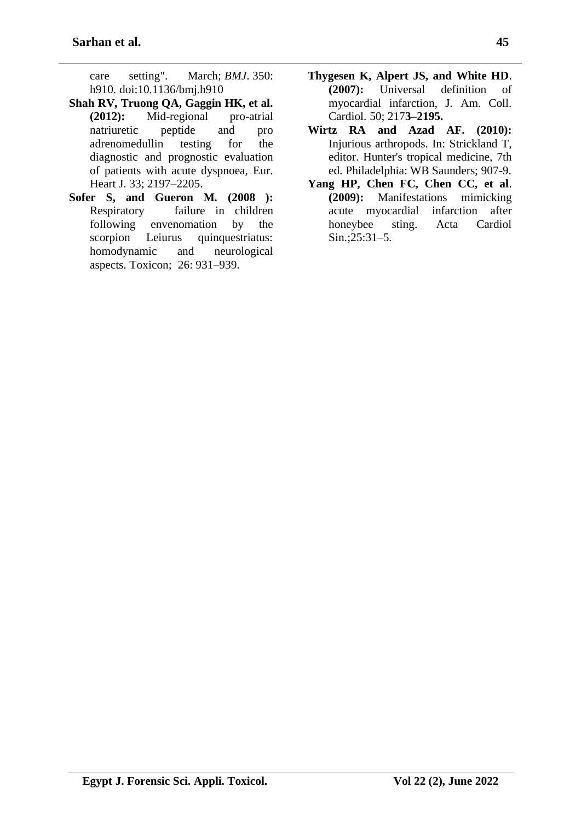[care setting".](https://www.ncbi.nlm.nih.gov/pmc/articles/PMC4353288) March; *BMJ*. 350: h910. [doi:](https://en.wikipedia.org/wiki/Doi_(identifier))[10.1136/bmj.h910](https://doi.org/10.1136%2Fbmj.h910)

- **Shah RV, Truong QA, Gaggin HK, et al. (2012):** Mid-regional pro-atrial natriuretic peptide and pro adrenomedullin testing for the diagnostic and prognostic evaluation of patients with acute dyspnoea, Eur. Heart J. 33; 2197–2205.
- **Sofer S, and Gueron M. (2008 ):** Respiratory failure in children following envenomation by the scorpion Leiurus quinquestriatus: homodynamic and neurological aspects. Toxicon; 26: 931–939.
- **Thygesen K, Alpert JS, and White HD**. **(2007):** Universal definition of myocardial infarction, J. Am. Coll. Cardiol. 50; 217**3–2195.**
- **Wirtz RA and Azad AF. (2010):** Injurious arthropods. In: Strickland T, editor. Hunter's tropical medicine, 7th ed. Philadelphia: WB Saunders; 907-9.
- **Yang HP, Chen FC, Chen CC, et al**. **(2009):** Manifestations mimicking acute myocardial infarction after honeybee sting. Acta Cardiol Sin.;25:31–5.